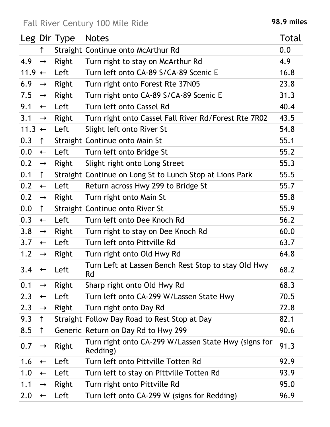## Fall River Century 100 Mile Ride **198.9 miles**

|          |               | Leg Dir Type | <b>Notes</b>                                                     | Total |
|----------|---------------|--------------|------------------------------------------------------------------|-------|
|          | $\uparrow$    |              | Straight Continue onto McArthur Rd                               | 0.0   |
| 4.9      | $\rightarrow$ | Right        | Turn right to stay on McArthur Rd                                | 4.9   |
| $11.9 +$ |               | Left         | Turn left onto CA-89 S/CA-89 Scenic E                            | 16.8  |
| 6.9      | $\rightarrow$ | Right        | Turn right onto Forest Rte 37N05                                 | 23.8  |
| 7.5      | $\rightarrow$ | Right        | Turn right onto CA-89 S/CA-89 Scenic E                           | 31.3  |
| 9.1      | $\leftarrow$  | Left         | Turn left onto Cassel Rd                                         | 40.4  |
| 3.1      | $\rightarrow$ | Right        | Turn right onto Cassel Fall River Rd/Forest Rte 7R02             | 43.5  |
| $11.3 +$ |               | Left         | Slight left onto River St                                        | 54.8  |
| 0.3      | $\uparrow$    |              | Straight Continue onto Main St                                   | 55.1  |
| 0.0      | $\leftarrow$  | Left         | Turn left onto Bridge St                                         | 55.2  |
| 0.2      | $\rightarrow$ | Right        | Slight right onto Long Street                                    | 55.3  |
| 0.1      | $\uparrow$    |              | Straight Continue on Long St to Lunch Stop at Lions Park         | 55.5  |
| 0.2      | $\leftarrow$  | Left         | Return across Hwy 299 to Bridge St                               | 55.7  |
| 0.2      | $\rightarrow$ | Right        | Turn right onto Main St                                          | 55.8  |
| 0.0      | $\uparrow$    |              | Straight Continue onto River St                                  | 55.9  |
| 0.3      | $\leftarrow$  | Left         | Turn left onto Dee Knoch Rd                                      | 56.2  |
| 3.8      | $\rightarrow$ | Right        | Turn right to stay on Dee Knoch Rd                               | 60.0  |
| 3.7      | $\leftarrow$  | Left         | Turn left onto Pittville Rd                                      | 63.7  |
| 1.2      | $\rightarrow$ | Right        | Turn right onto Old Hwy Rd                                       | 64.8  |
| 3.4      | $\leftarrow$  | Left         | Turn Left at Lassen Bench Rest Stop to stay Old Hwy<br>Rd        | 68.2  |
| 0.1      | $\rightarrow$ | Right        | Sharp right onto Old Hwy Rd                                      | 68.3  |
| 2.3      | $\leftarrow$  | Left         | Turn left onto CA-299 W/Lassen State Hwy                         | 70.5  |
| 2.3      | $\rightarrow$ | Right        | Turn right onto Day Rd                                           | 72.8  |
| 9.3      | $\uparrow$    |              | Straight Follow Day Road to Rest Stop at Day                     | 82.1  |
| 8.5      | $\uparrow$    |              | Generic Return on Day Rd to Hwy 299                              | 90.6  |
| 0.7      | $\rightarrow$ | Right        | Turn right onto CA-299 W/Lassen State Hwy (signs for<br>Redding) | 91.3  |
| 1.6      | $\leftarrow$  | Left         | Turn left onto Pittville Totten Rd                               | 92.9  |
| 1.0      | $\leftarrow$  | Left         | Turn left to stay on Pittville Totten Rd                         | 93.9  |
| 1.1      | $\rightarrow$ | Right        | Turn right onto Pittville Rd                                     | 95.0  |
| 2.0      | $\leftarrow$  | Left         | Turn left onto CA-299 W (signs for Redding)                      | 96.9  |